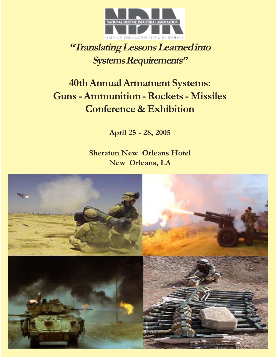

## **"Translating Lessons Learned into Systems Requirements"**

# **40th Annual Armament Systems: Guns - Ammunition - Rockets - Missiles Conference & Exhibition**

**April 25 - 28, 2005**

**Sheraton New Orleans Hotel New Orleans, LA**

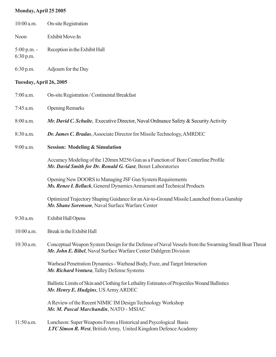## **Monday, April 25 2005**

| $10:00$ a.m.               | On-site Registration                                                                                                                                                      |
|----------------------------|---------------------------------------------------------------------------------------------------------------------------------------------------------------------------|
| Noon                       | Exhibit Move-In                                                                                                                                                           |
| $5:00$ p.m. -<br>6:30 p.m. | Reception in the Exhibit Hall                                                                                                                                             |
| 6:30 p.m.                  | Adjourn for the Day                                                                                                                                                       |
| Tuesday, April 26, 2005    |                                                                                                                                                                           |
| $7:00$ a.m.                | On-site Registration / Continental Breakfast                                                                                                                              |
| 7:45 a.m.                  | <b>Opening Remarks</b>                                                                                                                                                    |
| 8:00 a.m.                  | Mr. David C. Schulte, Executive Director, Naval Ordnance Safety & Security Activity                                                                                       |
| $8:30$ a.m.                | Dr. James C. Bradas, Associate Director for Missile Technology, AMRDEC                                                                                                    |
| $9:00$ a.m.                | <b>Session: Modeling &amp; Simulation</b>                                                                                                                                 |
|                            | Accuracy Modeling of the 120mm M256 Gun as a Function of Bore Centerline Profile<br>Mr. David Smith for Dr. Ronald G. Gast, Benet Laboratories                            |
|                            | Opening New DOORS to Managing JSF Gun System Requirements<br>Ms. Renee I. Bellack, General Dynamics Armament and Technical Products                                       |
|                            | Optimized Trajectory Shaping Guidance for an Air-to-Ground Missile Launched from a Gunship<br>Mr. Shane Sorenson, Naval Surface Warfare Center                            |
| $9:30$ a.m.                | <b>Exhibit Hall Opens</b>                                                                                                                                                 |
| $10:00$ a.m.               | Break in the Exhibit Hall                                                                                                                                                 |
| $10:30$ a.m.               | Conceptual Weapon System Design for the Defense of Naval Vessels from the Swarming Small Boat Threat<br>Mr. John E. Bibel, Naval Surface Warfare Center Dahlgren Division |
|                            | Warhead Penetration Dynamics - Warhead Body, Fuze, and Target Interaction<br>Mr. Richard Ventura, Talley Defense Systems                                                  |
|                            | Ballistic Limits of Skin and Clothing for Lethality Estimates of Projectiles Wound Ballistics<br>Mr. Henry E. Hudgins, US Army ARDEC                                      |
|                            | A Review of the Recent NIMIC IM Design Technology Workshop<br>Mr. M. Pascal Marchandin, NATO - MSIAC                                                                      |
|                            |                                                                                                                                                                           |

11:50 a.m. Luncheon: Super Weapons From a Historical and Psycological Basis  *LTC Simon R. West*, British Army, United Kingdom Defence Academy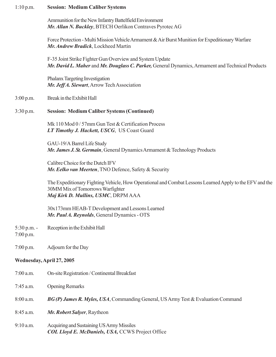| 1:10 p.m.                  | <b>Session: Medium Caliber Systems</b>                                                                                                                                             |  |  |  |
|----------------------------|------------------------------------------------------------------------------------------------------------------------------------------------------------------------------------|--|--|--|
|                            | Ammunition for the New Infantry Battelfield Environment<br>Mr. Allan N. Buckley, BTECH Oerlikon Contraves Pyrotec AG                                                               |  |  |  |
|                            | Force Protection - Multi Mission Vehicle Armament & Air Burst Munition for Expeditionary Warfare<br>Mr. Andrew Bradick, Lockheed Martin                                            |  |  |  |
|                            | F-35 Joint Strike Fighter Gun Overview and System Update<br>Mr. David L. Maher and Mr. Douglass C. Parker, General Dynamics, Armament and Technical Products                       |  |  |  |
|                            | Phalanx Targeting Investigation<br>Mr. Jeff A. Siewart, Arrow Tech Association                                                                                                     |  |  |  |
| 3:00 p.m.                  | Break in the Exhibit Hall                                                                                                                                                          |  |  |  |
| 3:30 p.m.                  | <b>Session: Medium Caliber Systems (Continued)</b>                                                                                                                                 |  |  |  |
|                            | Mk 110 Mod 0/57mm Gun Test & Certification Process<br>LT Timothy J. Hackett, USCG, US Coast Guard                                                                                  |  |  |  |
|                            | GAU-19/A Barrel Life Study<br>Mr. James J. St. Germain, General Dynamics Armament & Technology Products                                                                            |  |  |  |
|                            | Calibre Choice for the Dutch IFV<br>Mr. Eelko van Meerten, TNO Defence, Safety & Security                                                                                          |  |  |  |
|                            | The Expeditionary Fighting Vehicle, How Operational and Combat Lessons Learned Apply to the EFV and the<br>30MM Mix of Tomorrows Warfighter<br>Maj Kirk D. Mullins, USMC, DRPM AAA |  |  |  |
|                            | 30x173mm HEAB-T Development and Lessons Learned<br>Mr. Paul A. Reynolds, General Dynamics - OTS                                                                                    |  |  |  |
| $5:30$ p.m. -<br>7:00 p.m. | Reception in the Exhibit Hall                                                                                                                                                      |  |  |  |
| 7:00 p.m.                  | Adjourn for the Day                                                                                                                                                                |  |  |  |
| Wednesday, April 27, 2005  |                                                                                                                                                                                    |  |  |  |
| $7:00$ a.m.                | On-site Registration / Continental Breakfast                                                                                                                                       |  |  |  |
| $7:45$ a.m.                | <b>Opening Remarks</b>                                                                                                                                                             |  |  |  |

8:00 a.m. *BG (P) James R. Myles, USA*, Commanding General, US Army Test & Evaluation Command

- 8:45 a.m. *Mr. Robert Salyer*, Raytheon
- 9:10 a.m. Acquiring and Sustaining US Army Missiles *COL Lloyd E. McDaniels, USA,* CCWS Project Office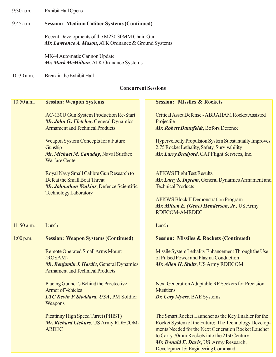9:30 a.m. Exhibit Hall Opens

#### 9:45 a.m. **Session: Medium Caliber Systems (Continued)**

Recent Developments of the M230 30MM Chain Gun *Mr. Lawrence A. Mason*, ATK Ordnance & Ground Systems

MK44 Automatic Cannon Update *Mr. Mark McMillian*, ATK Ordnance Systems

10:30 a.m. Break in the Exhibit Hall

#### **Concurrent Sessions**

| 10:50 a.m.     | <b>Session: Weapon Systems</b>                                                                                                           | <b>Session: Missiles &amp; Rockets</b>                                                                                                                                                                             |
|----------------|------------------------------------------------------------------------------------------------------------------------------------------|--------------------------------------------------------------------------------------------------------------------------------------------------------------------------------------------------------------------|
|                | <b>AC-130U Gun System Production Re-Start</b><br>Mr. John G. Fletcher, General Dynamics<br><b>Armament and Technical Products</b>        | Critical Asset Defense - ABRAHAM Rocket Assisted<br>Projectile<br>Mr. Robert Daunfeldt, Bofors Defence                                                                                                             |
|                | Weapon System Concepts for a Future<br>Gunship<br>Mr. Michael M. Canaday, Naval Surface<br><b>Warfare Center</b>                         | <b>Hypervelocity Propulsion System Substantially Improves</b><br>2.75 Rocket Lethality, Safety, Survivability<br>Mr. Larry Bradford, CAT Flight Services, Inc.                                                     |
|                | Royal Navy Small Calibre Gun Research to<br>Defeat the Small Boat Threat<br>Mr. Johnathan Watkins, Defence Scientific                    | <b>APKWS Flight Test Results</b><br>Mr. Larry S. Ingram, General Dynamics Armament and<br><b>Technical Products</b>                                                                                                |
|                | <b>Technology Laboratory</b>                                                                                                             | <b>APKWS Block II Demonstration Program</b><br>Mr. Milton E. (Gene) Henderson, Jr., US Army<br><b>RDECOM-AMRDEC</b>                                                                                                |
| $11:50$ a.m. - | Lunch                                                                                                                                    | Lunch                                                                                                                                                                                                              |
| 1:00 p.m.      | <b>Session: Weapon Systems (Continued)</b>                                                                                               | <b>Session: Missiles &amp; Rockets (Continued)</b>                                                                                                                                                                 |
|                | <b>Remote Operated Small Arms Mount</b><br>(ROSAM)<br>Mr. Benjamin J. Hardie, General Dynamics<br><b>Armament and Technical Products</b> | Missile System Lethality Enhancement Through the Use<br>of Pulsed Power and Plasma Conduction<br>Mr. Allen H. Stults, US Army RDECOM                                                                               |
|                | Placing Gunner's Behind the Proctective<br><b>Armor of Vehicles</b><br>LTC Kevin P. Stoddard, USA, PM Soldier<br>Weapons                 | <b>Next Generation Adaptable RF Seekers for Precision</b><br><b>Munitions</b><br>Dr. Cory Myers, BAE Systems                                                                                                       |
|                | Picatinny High Speed Turret (PHIST)<br>Mr. Richard Ciekurs, US Army RDECOM-<br><b>ARDEC</b>                                              | The Smart Rocket Launcher as the Key Enabler for the<br>Rocket System of the Future: The Technology Develop-<br>ments Needed for the Next Generation Rocket Laucher<br>to Carry 70mm Rockets into the 21st Century |

*Mr. Donald E. Davis*, US Army Research, Development & Engineering Command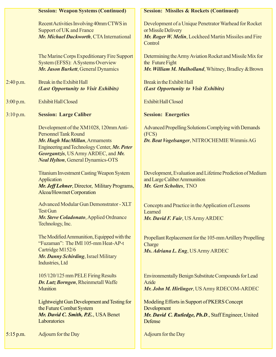|             | <b>Session: Weapon Systems (Continued)</b>                                                                                                                                                                                                | <b>Session: Missiles &amp; Rockets (Continued)</b>                                                                                               |
|-------------|-------------------------------------------------------------------------------------------------------------------------------------------------------------------------------------------------------------------------------------------|--------------------------------------------------------------------------------------------------------------------------------------------------|
|             | Recent Activities Involving 40mm CTWS in<br><b>Support of UK and France</b><br>Mr. Michael Duckworth, CTA International                                                                                                                   | Development of a Unique Penetrator Warhead for Rocket<br>or Missile Delivery<br>Mr. Roger W. Melin, Lockheed Martin Missiles and Fire<br>Control |
|             | The Marine Corps Expeditionary Fire Support<br>System (EFSS): A Systems Overview<br>Mr. Jason Burkett, General Dynamics                                                                                                                   | Determining the Army Aviation Rocket and Missile Mix for<br>the Future Fight<br>Mr. William M. Mulholland, Whitney, Bradley & Brown              |
| 2:40 p.m.   | Break in the Exhibit Hall<br>(Last Opportunity to Visit Exhibits)                                                                                                                                                                         | Break in the Exhibit Hall<br>(Last Opportunity to Visit Exhibits)                                                                                |
| 3:00 p.m.   | <b>Exhibit Hall Closed</b>                                                                                                                                                                                                                | <b>Exhibit Hall Closed</b>                                                                                                                       |
| 3:10 p.m.   | <b>Session: Large Caliber</b>                                                                                                                                                                                                             | <b>Session: Energetics</b>                                                                                                                       |
|             | Development of the XM1028, 120mm Anti-<br><b>Personnel Tank Round</b><br>Mr. Hugh MacMillan, Armaments<br>Engineering and Technology Center, Mr. Peter<br>Georgantzis, US Army ARDEC, and Mr.<br><b>Neal Hylton, General Dynamics-OTS</b> | Advanced Propelling Solutions Complying with Demands<br>(FCS)<br>Dr. Beat Vogelsanger, NITROCHEMIE Wimmis AG                                     |
|             | <b>Titanium Investment Casting Weapon System</b><br>Application<br>Mr. Jeff Lehner, Director, Military Programs,<br>Alcoa/Howmet Corporation                                                                                              | Development, Evaluation and Lifetime Prediction of Medium<br>and Large Caliber Ammunition<br>Mr. Gert Scholtes, TNO                              |
|             | <b>Advanced Modular Gun Demonstrator - XLT</b><br><b>Test Gun</b><br>Mr. Steve Coladonato, Applied Ordnance<br>Technology, Inc.                                                                                                           | Concepts and Practice in the Application of Lessons<br>Learned<br>Mr. David F. Fair, US Army ARDEC                                               |
|             | The Modified Ammunition, Equipped with the<br>"Fuzaman": The IMI 105-mm Heat-AP-t<br>Cartridge M152/6<br>Mr. Danny Schirding, Israel Military<br>Industries, Ltd                                                                          | Propellant Replacement for the 105-mm Artillery Propelling<br>Charge<br>Ms. Adriana L. Eng, US Army ARDEC                                        |
|             | 105/120/125 mm PELE Firing Results<br>Dr. Lutz Borngen, Rheinmetall Waffe<br><b>Munition</b>                                                                                                                                              | <b>Environmentally Benign Substitute Compounds for Lead</b><br>Azide<br>Mr. John M. Hirlinger, US Army RDECOM-ARDEC                              |
|             | Lightweight Gun Development and Testing for<br>the Future Combat System<br>Mr. David C. Smith, P.E., USA Benet<br>Laboratories                                                                                                            | Modeling Efforts in Support of PKERS Concept<br>Development<br>Mr. David C. Rutledge, Ph.D., Staff Engineer, United<br>Defense                   |
| $5:15$ p.m. | Adjourn for the Day                                                                                                                                                                                                                       | Adjourn for the Day                                                                                                                              |
|             |                                                                                                                                                                                                                                           |                                                                                                                                                  |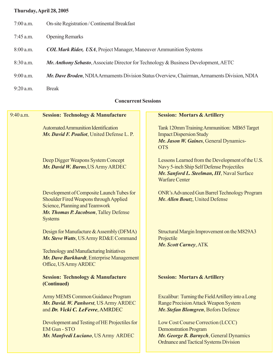## **Thursday, April 28, 2005**

- 7:00 a.m. On-site Registration / Continental Breakfast
- 7:45 a.m. Opening Remarks
- 8:00 a.m. *COL Mark Rider, USA*, Project Manager, Maneuver Ammunition Systems
- 8:30 a.m. *Mr. Anthony Sebasto*, Associate Director for Technology & Business Development, AETC
- 9:00 a.m. *Mr. Dave Broden*, NDIA Armaments Division Status Overview, Chairman, Armaments Division, NDIA
- 9:20 a.m. Break

#### **Concurrent Sessions**

| $9:40$ a.m.<br><b>Session: Technology &amp; Manufacture</b> | <b>Session: Mortars &amp; Artillery</b>             |
|-------------------------------------------------------------|-----------------------------------------------------|
| <b>Automated Ammunition Identification</b>                  | Tank 120mm Training Ammunition: MB65 Target         |
| Mr. David F. Pouliot, United Defense L. P.                  | <b>Impact Dispersion Study</b>                      |
|                                                             | Mr. Jason W. Gaines, General Dynamics-              |
|                                                             | <b>OTS</b>                                          |
| Deep Digger Weapons System Concept                          | Lessons Learned from the Development of the U.S.    |
| Mr. David W. Burns, US Army ARDEC                           | Navy 5-inch Ship Self Defense Projectiles           |
|                                                             | Mr. Sanford L. Steelman, III, Naval Surface         |
|                                                             | <b>Warfare Center</b>                               |
| Development of Composite Launch Tubes for                   | <b>ONR's Advanced Gun Barrel Technology Program</b> |
| Shoulder Fired Weapons through Applied                      | Mr. Allen Boutz, United Defense                     |
| Science, Planning and Teamwork                              |                                                     |
| Mr. Thomas P. Jacobson, Talley Defense                      |                                                     |
| <b>Systems</b>                                              |                                                     |
| Design for Manufacture & Assembly (DFMA)                    | Structural Margin Improvement on the M829A3         |
| Mr. Steve Watts, US Army RD&E Command                       | Projectile                                          |
|                                                             | <b>Mr. Scott Carney, ATK</b>                        |
| <b>Technology and Manufacturing Initiatives</b>             |                                                     |
| Mr. Dave Burkhardt, Enterprise Management                   |                                                     |
| Office, US Army ARDEC                                       |                                                     |
| <b>Session: Technology &amp; Manufacture</b>                | <b>Session: Mortars &amp; Artillery</b>             |
| (Continued)                                                 |                                                     |
| <b>Army MEMS Common Guidance Program</b>                    | Excalibur: Turning the Field Artillery into a Long  |
| Mr. David. W. Panhorst, US Army ARDEC                       | <b>Range Precision Attack Weapon System</b>         |
| and Dr. Vicki C. LeFevre, AMRDEC                            | Mr. Stefan Blomgren, Bofors Defence                 |
| Development and Testing of HE Projectiles for               | Low Cost Course Correction (LCCC)                   |
| <b>EM Gun - STO</b>                                         | <b>Demonstration Program</b>                        |
| Mr. Manfredi Luciano, US Army ARDEC                         | Mr. George B. Barnych, General Dynamics             |
|                                                             | <b>Ordnance and Tactical Systems Division</b>       |
|                                                             |                                                     |